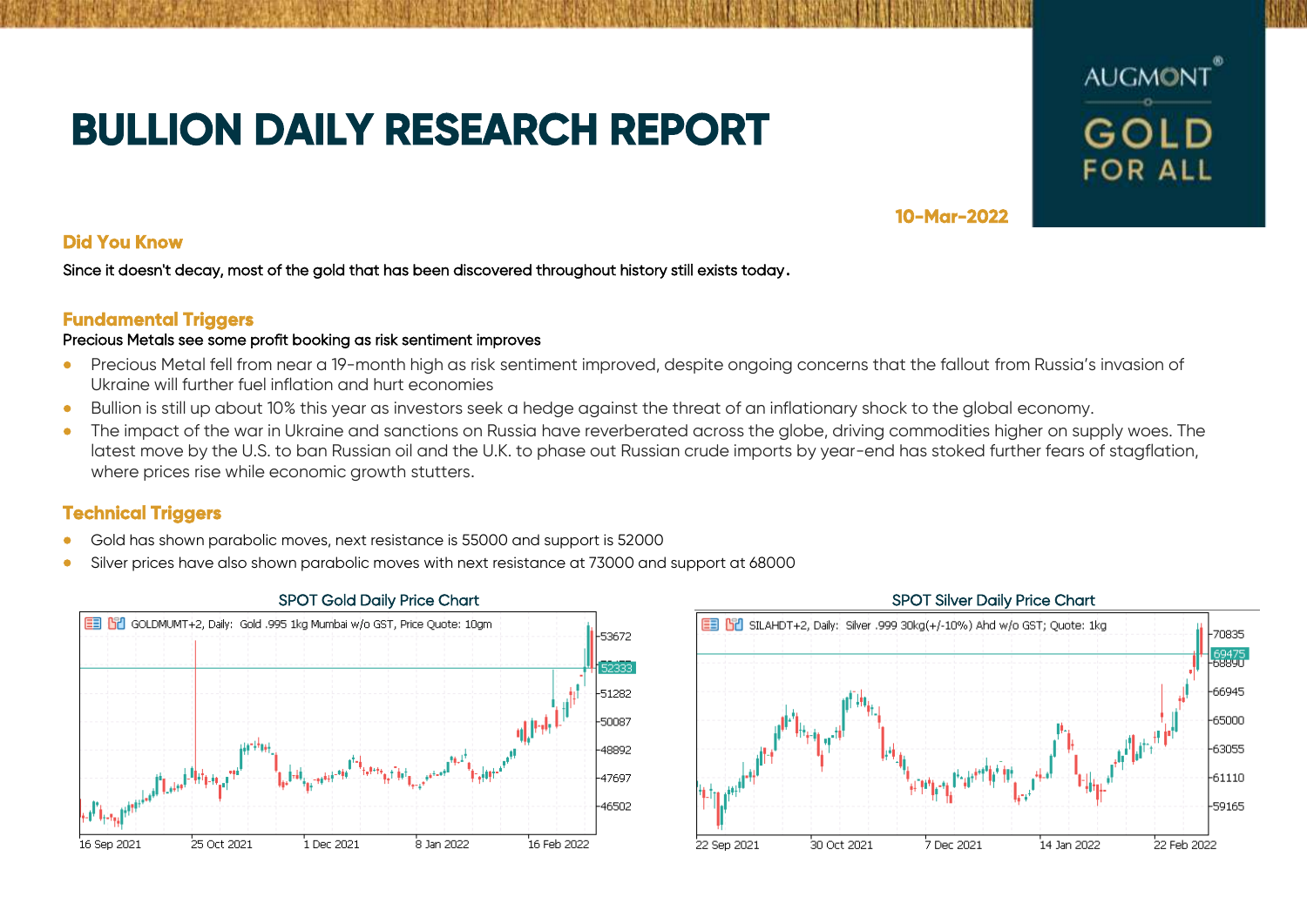# **BULLION DAILY RESEARCH REPORT**



## **10-Mar-2022**

## **Did You Know**

Since it doesn't decay, most of the gold that has been discovered throughout history still exists today.

## **Fundamental Triggers**

### Precious Metals see some profit booking as risk sentiment improves

- Precious Metal fell from near a 19-month high as risk sentiment improved, despite ongoing concerns that the fallout from Russia's invasion of Ukraine will further fuel inflation and hurt economies
- Bullion is still up about 10% this year as investors seek a hedge against the threat of an inflationary shock to the global economy.
- The impact of the war in Ukraine and sanctions on Russia have reverberated across the globe, driving commodities higher on supply woes. The latest move by the U.S. to ban Russian oil and the U.K. to phase out Russian crude imports by year-end has stoked further fears of stagflation, where prices rise while economic growth stutters.

# **Technical Triggers**

- Gold has shown parabolic moves, next resistance is 55000 and support is 52000
- Silver prices have also shown parabolic moves with next resistance at 73000 and support at 68000



### 70835 69475<br>الاة <del>1</del> -66945 -65000 -63055 -61110 -59165 30 Oct 2021 .<br>22 Feb 2022 22 Sep 2021 7 Dec 2021 14 Jan 2022

### SPOT Gold Daily Price Chart SPOT Silver Daily Price Chart